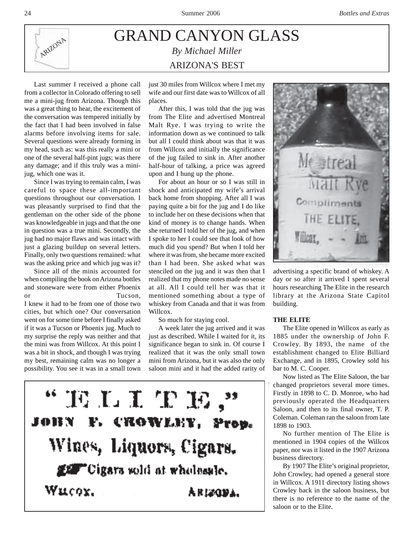

## GRAND CANYON GLASS *By Michael Miller* ARIZONA'S BEST

Last summer I received a phone call from a collector in Colorado offering to sell me a mini-jug from Arizona. Though this was a great thing to hear, the excitement of the conversation was tempered initially by the fact that I had been involved in false alarms before involving items for sale. Several questions were already forming in my head, such as: was this really a mini or one of the several half-pint jugs; was there any damage; and if this truly was a minijug, which one was it.

Since I was trying to remain calm, I was careful to space these all-important questions throughout our conversation. I was pleasantly surprised to find that the gentleman on the other side of the phone was knowledgeable in jugs and that the one in question was a true mini. Secondly, the jug had no major flaws and was intact with just a glazing buildup on several letters. Finally, only two questions remained: what was the asking price and which jug was it?

Since all of the minis accounted for when compiling the book on Arizona bottles and stoneware were from either Phoenix or Tucson, I knew it had to be from one of those two cities, but which one? Our conversation went on for some time before I finally asked if it was a Tucson or Phoenix jug. Much to my surprise the reply was neither and that the mini was from Willcox. At this point I was a bit in shock, and though I was trying my best, remaining calm was no longer a possibility. You see it was in a small town

just 30 miles from Willcox where I met my wife and our first date was to Willcox of all places.

After this, I was told that the jug was from The Elite and advertised Montreal Malt Rye. I was trying to write the information down as we continued to talk but all I could think about was that it was from Willcox and initially the significance of the jug failed to sink in. After another half-hour of talking, a price was agreed upon and I hung up the phone.

For about an hour or so I was still in shock and anticipated my wife's arrival back home from shopping. After all I was paying quite a bit for the jug and I do like to include her on these decisions when that kind of money is to change hands. When she returned I told her of the jug, and when I spoke to her I could see that look of how much did you spend? But when I told her where it was from, she became more excited than I had been. She asked what was stenciled on the jug and it was then that I realized that my phone notes made no sense at all. All I could tell her was that it mentioned something about a type of whiskey from Canada and that it was from Willcox.

So much for staying cool.

A week later the jug arrived and it was just as described. While I waited for it, its significance began to sink in. Of course I realized that it was the only small town mini from Arizona, but it was also the only saloon mini and it had the added rarity of





advertising a specific brand of whiskey. A day or so after it arrived I spent several hours researching The Elite in the research library at the Arizona State Capitol building.

## **THE ELITE**

The Elite opened in Willcox as early as 1885 under the ownership of John F. Crowley. By 1893, the name of the establishment changed to Elite Billiard Exchange, and in 1895, Crowley sold his bar to M. C. Cooper.

Now listed as The Elite Saloon, the bar changed proprietors several more times. Firstly in 1898 to C. D. Monroe, who had previously operated the Headquarters Saloon, and then to its final owner, T. P. Coleman. Coleman ran the saloon from late 1898 to 1903.

No further mention of The Elite is mentioned in 1904 copies of the Willcox paper, nor was it listed in the 1907 Arizona business directory.

By 1907 The Elite's original proprietor, John Crowley, had opened a general store in Willcox. A 1911 directory listing shows Crowley back in the saloon business, but there is no reference to the name of the saloon or to the Elite.